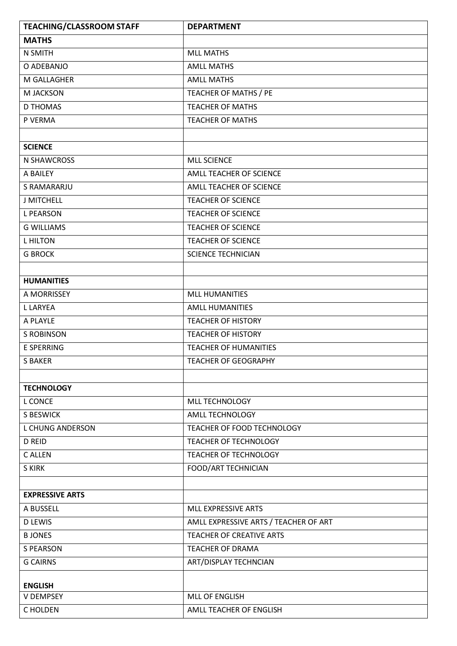| <b>MATHS</b><br><b>MLL MATHS</b><br>N SMITH<br><b>AMLL MATHS</b><br>O ADEBANJO<br><b>AMLL MATHS</b><br>M GALLAGHER<br>TEACHER OF MATHS / PE<br>M JACKSON<br><b>D THOMAS</b><br><b>TEACHER OF MATHS</b><br>P VERMA<br><b>TEACHER OF MATHS</b><br><b>SCIENCE</b> |
|----------------------------------------------------------------------------------------------------------------------------------------------------------------------------------------------------------------------------------------------------------------|
|                                                                                                                                                                                                                                                                |
|                                                                                                                                                                                                                                                                |
|                                                                                                                                                                                                                                                                |
|                                                                                                                                                                                                                                                                |
|                                                                                                                                                                                                                                                                |
|                                                                                                                                                                                                                                                                |
|                                                                                                                                                                                                                                                                |
|                                                                                                                                                                                                                                                                |
|                                                                                                                                                                                                                                                                |
| N SHAWCROSS<br><b>MLL SCIENCE</b>                                                                                                                                                                                                                              |
| A BAILEY<br>AMLL TEACHER OF SCIENCE                                                                                                                                                                                                                            |
| S RAMARARJU<br>AMLL TEACHER OF SCIENCE                                                                                                                                                                                                                         |
| <b>J MITCHELL</b><br><b>TEACHER OF SCIENCE</b>                                                                                                                                                                                                                 |
| <b>L PEARSON</b><br><b>TEACHER OF SCIENCE</b>                                                                                                                                                                                                                  |
| <b>G WILLIAMS</b><br><b>TEACHER OF SCIENCE</b>                                                                                                                                                                                                                 |
| <b>L HILTON</b><br><b>TEACHER OF SCIENCE</b>                                                                                                                                                                                                                   |
| <b>G BROCK</b><br>SCIENCE TECHNICIAN                                                                                                                                                                                                                           |
|                                                                                                                                                                                                                                                                |
| <b>HUMANITIES</b>                                                                                                                                                                                                                                              |
| A MORRISSEY<br>MLL HUMANITIES                                                                                                                                                                                                                                  |
| <b>L LARYEA</b><br><b>AMLL HUMANITIES</b>                                                                                                                                                                                                                      |
| A PLAYLE<br><b>TEACHER OF HISTORY</b>                                                                                                                                                                                                                          |
| <b>S ROBINSON</b><br><b>TEACHER OF HISTORY</b>                                                                                                                                                                                                                 |
| E SPERRING<br><b>TEACHER OF HUMANITIES</b>                                                                                                                                                                                                                     |
| <b>S BAKER</b><br><b>TEACHER OF GEOGRAPHY</b>                                                                                                                                                                                                                  |
|                                                                                                                                                                                                                                                                |
| <b>TECHNOLOGY</b>                                                                                                                                                                                                                                              |
| <b>L CONCE</b><br>MLL TECHNOLOGY                                                                                                                                                                                                                               |
| <b>S BESWICK</b><br>AMLL TECHNOLOGY                                                                                                                                                                                                                            |
| <b>L CHUNG ANDERSON</b><br>TEACHER OF FOOD TECHNOLOGY                                                                                                                                                                                                          |
| <b>D REID</b><br><b>TEACHER OF TECHNOLOGY</b>                                                                                                                                                                                                                  |
| C ALLEN<br><b>TEACHER OF TECHNOLOGY</b>                                                                                                                                                                                                                        |
| FOOD/ART TECHNICIAN<br><b>SKIRK</b>                                                                                                                                                                                                                            |
|                                                                                                                                                                                                                                                                |
| <b>EXPRESSIVE ARTS</b>                                                                                                                                                                                                                                         |
| A BUSSELL<br>MLL EXPRESSIVE ARTS                                                                                                                                                                                                                               |
| <b>D LEWIS</b><br>AMLL EXPRESSIVE ARTS / TEACHER OF ART                                                                                                                                                                                                        |
| <b>BJONES</b><br><b>TEACHER OF CREATIVE ARTS</b>                                                                                                                                                                                                               |
| <b>S PEARSON</b><br><b>TEACHER OF DRAMA</b>                                                                                                                                                                                                                    |
| <b>G CAIRNS</b><br>ART/DISPLAY TECHNCIAN                                                                                                                                                                                                                       |
|                                                                                                                                                                                                                                                                |
| <b>ENGLISH</b><br><b>MLL OF ENGLISH</b><br><b>V DEMPSEY</b>                                                                                                                                                                                                    |
| C HOLDEN<br>AMLL TEACHER OF ENGLISH                                                                                                                                                                                                                            |